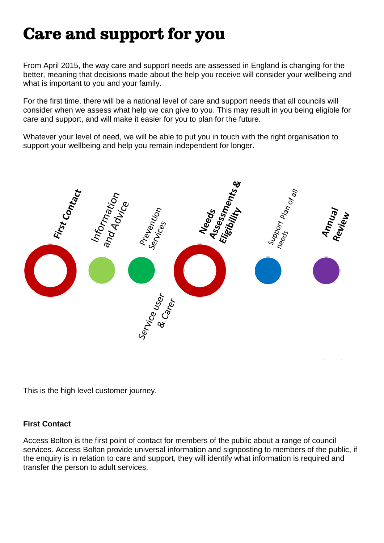# Care and support for you

From April 2015, the way care and support needs are assessed in England is changing for the better, meaning that decisions made about the help you receive will consider your wellbeing and what is important to you and your family.

For the first time, there will be a national level of care and support needs that all councils will consider when we assess what help we can give to you. This may result in you being eligible for care and support, and will make it easier for you to plan for the future.

Whatever your level of need, we will be able to put you in touch with the right organisation to support your wellbeing and help you remain independent for longer.



This is the high level customer journey.

## **First Contact**

Access Bolton is the first point of contact for members of the public about a range of council services. Access Bolton provide universal information and signposting to members of the public, if the enquiry is in relation to care and support, they will identify what information is required and transfer the person to adult services.